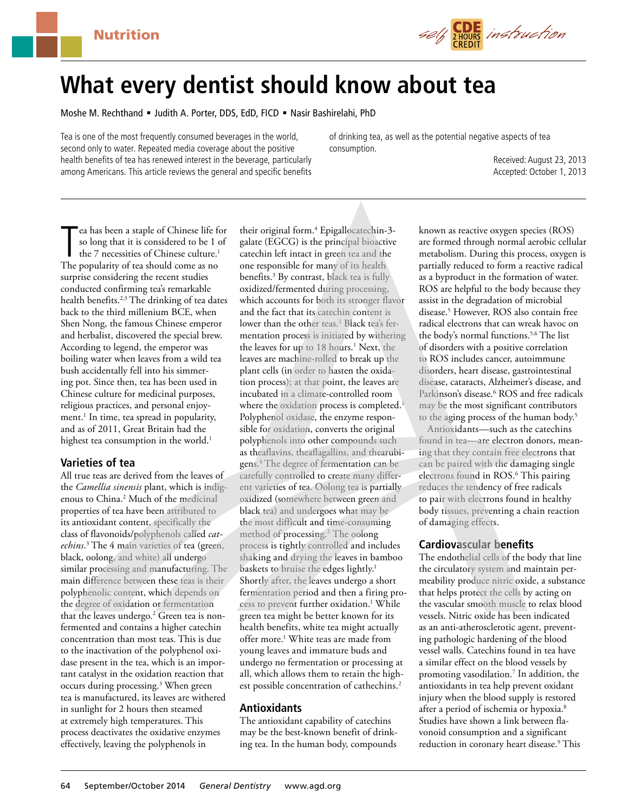

# **What every dentist should know about tea**

Moshe M. Rechthand • Judith A. Porter, DDS, EdD, FICD • Nasir Bashirelahi, PhD

Tea is one of the most frequently consumed beverages in the world, second only to water. Repeated media coverage about the positive health benefits of tea has renewed interest in the beverage, particularly among Americans. This article reviews the general and specific benefits of drinking tea, as well as the potential negative aspects of tea consumption.

> Received: August 23, 2013 Accepted: October 1, 2013

The popularity of the popularity of tea should come as no The popularity of tea should come as no ea has been a staple of Chinese life for so long that it is considered to be 1 of the 7 necessities of Chinese culture.<sup>1</sup> surprise considering the recent studies conducted confirming tea's remarkable health benefits.<sup>2,3</sup> The drinking of tea dates back to the third millenium BCE, when Shen Nong, the famous Chinese emperor and herbalist, discovered the special brew. According to legend, the emperor was boiling water when leaves from a wild tea bush accidentally fell into his simmering pot. Since then, tea has been used in Chinese culture for medicinal purposes, religious practices, and personal enjoyment.<sup>1</sup> In time, tea spread in popularity, and as of 2011, Great Britain had the highest tea consumption in the world.<sup>1</sup>

## **Varieties of tea**

All true teas are derived from the leaves of the *Camellia sinensis* plant, which is indigenous to China.2 Much of the medicinal properties of tea have been attributed to its antioxidant content, specifically the class of flavonoids/polyphenols called *catechins*. 3 The 4 main varieties of tea (green, black, oolong, and white) all undergo similar processing and manufacturing. The main difference between these teas is their polyphenolic content, which depends on the degree of oxidation or fermentation that the leaves undergo.<sup>2</sup> Green tea is nonfermented and contains a higher catechin concentration than most teas. This is due to the inactivation of the polyphenol oxidase present in the tea, which is an important catalyst in the oxidation reaction that occurs during processing.3 When green tea is manufactured, its leaves are withered in sunlight for 2 hours then steamed at extremely high temperatures. This process deactivates the oxidative enzymes effectively, leaving the polyphenols in

their original form.<sup>4</sup> Epigallocatechin-3galate (EGCG) is the principal bioactive catechin left intact in green tea and the one responsible for many of its health benefits.3 By contrast, black tea is fully oxidized/fermented during processing, which accounts for both its stronger flavor and the fact that its catechin content is lower than the other teas.<sup>2</sup> Black tea's fermentation process is initiated by withering the leaves for up to 18 hours.<sup>1</sup> Next, the leaves are machine-rolled to break up the plant cells (in order to hasten the oxidation process); at that point, the leaves are incubated in a climate-controlled room where the oxidation process is completed.<sup>1</sup> Polyphenol oxidase, the enzyme responsible for oxidation, converts the original polyphenols into other compounds such as theaflavins, theaflagallins, and thearubigens.4 The degree of fermentation can be carefully controlled to create many different varieties of tea. Oolong tea is partially oxidized (somewhere between green and black tea) and undergoes what may be the most difficult and time-consuming method of processing.2 The oolong process is tightly controlled and includes shaking and drying the leaves in bamboo baskets to bruise the edges lightly.<sup>1</sup> Shortly after, the leaves undergo a short fermentation period and then a firing process to prevent further oxidation.<sup>1</sup> While green tea might be better known for its health benefits, white tea might actually offer more.1 White teas are made from young leaves and immature buds and undergo no fermentation or processing at all, which allows them to retain the highest possible concentration of cathechins.<sup>2</sup>

## **Antioxidants**

The antioxidant capability of catechins may be the best-known benefit of drinking tea. In the human body, compounds known as reactive oxygen species (ROS) are formed through normal aerobic cellular metabolism. During this process, oxygen is partially reduced to form a reactive radical as a byproduct in the formation of water. ROS are helpful to the body because they assist in the degradation of microbial disease.5 However, ROS also contain free radical electrons that can wreak havoc on the body's normal functions.5,6 The list of disorders with a positive correlation to ROS includes cancer, autoimmune disorders, heart disease, gastrointestinal disease, cataracts, Alzheimer's disease, and Parkinson's disease.<sup>6</sup> ROS and free radicals may be the most significant contributors to the aging process of the human body.<sup>5</sup>

Antioxidants—such as the catechins found in tea—are electron donors, meaning that they contain free electrons that can be paired with the damaging single electrons found in ROS.6 This pairing reduces the tendency of free radicals to pair with electrons found in healthy body tissues, preventing a chain reaction of damaging effects.

## **Cardiovascular benefits**

The endothelial cells of the body that line the circulatory system and maintain permeability produce nitric oxide, a substance that helps protect the cells by acting on the vascular smooth muscle to relax blood vessels. Nitric oxide has been indicated as an anti-atherosclerotic agent, preventing pathologic hardening of the blood vessel walls. Catechins found in tea have a similar effect on the blood vessels by promoting vasodilation.7 In addition, the antioxidants in tea help prevent oxidant injury when the blood supply is restored after a period of ischemia or hypoxia.8 Studies have shown a link between flavonoid consumption and a significant reduction in coronary heart disease.9 This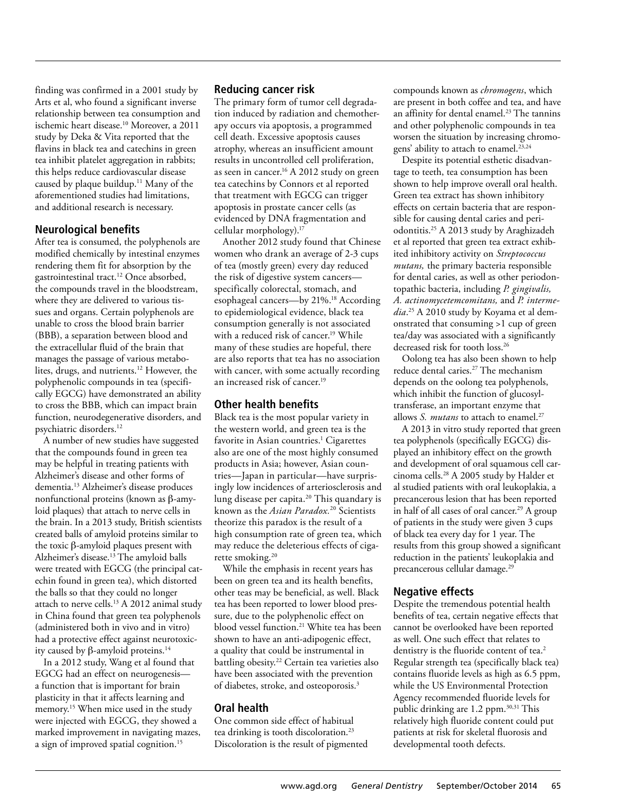finding was confirmed in a 2001 study by Arts et al, who found a significant inverse relationship between tea consumption and ischemic heart disease.<sup>10</sup> Moreover, a 2011 study by Deka & Vita reported that the flavins in black tea and catechins in green tea inhibit platelet aggregation in rabbits; this helps reduce cardiovascular disease caused by plaque buildup.<sup>11</sup> Many of the aforementioned studies had limitations, and additional research is necessary.

# **Neurological benefits**

After tea is consumed, the polyphenols are modified chemically by intestinal enzymes rendering them fit for absorption by the gastrointestinal tract.12 Once absorbed, the compounds travel in the bloodstream, where they are delivered to various tissues and organs. Certain polyphenols are unable to cross the blood brain barrier (BBB), a separation between blood and the extracellular fluid of the brain that manages the passage of various metabolites, drugs, and nutrients.<sup>12</sup> However, the polyphenolic compounds in tea (specifically EGCG) have demonstrated an ability to cross the BBB, which can impact brain function, neurodegenerative disorders, and psychiatric disorders.12

A number of new studies have suggested that the compounds found in green tea may be helpful in treating patients with Alzheimer's disease and other forms of dementia.13 Alzheimer's disease produces nonfunctional proteins (known as  $\beta$ -amyloid plaques) that attach to nerve cells in the brain. In a 2013 study, British scientists created balls of amyloid proteins similar to the toxic  $\beta$ -amyloid plaques present with Alzheimer's disease.13 The amyloid balls were treated with EGCG (the principal catechin found in green tea), which distorted the balls so that they could no longer attach to nerve cells.<sup>13</sup> A 2012 animal study in China found that green tea polyphenols (administered both in vivo and in vitro) had a protective effect against neurotoxicity caused by  $\beta$ -amyloid proteins.<sup>14</sup>

In a 2012 study, Wang et al found that EGCG had an effect on neurogenesis a function that is important for brain plasticity in that it affects learning and memory.<sup>15</sup> When mice used in the study were injected with EGCG, they showed a marked improvement in navigating mazes, a sign of improved spatial cognition.15

#### **Reducing cancer risk**

The primary form of tumor cell degradation induced by radiation and chemotherapy occurs via apoptosis, a programmed cell death. Excessive apoptosis causes atrophy, whereas an insufficient amount results in uncontrolled cell proliferation, as seen in cancer.16 A 2012 study on green tea catechins by Connors et al reported that treatment with EGCG can trigger apoptosis in prostate cancer cells (as evidenced by DNA fragmentation and cellular morphology).17

Another 2012 study found that Chinese women who drank an average of 2-3 cups of tea (mostly green) every day reduced the risk of digestive system cancers specifically colorectal, stomach, and esophageal cancers—by 21%.18 According to epidemiological evidence, black tea consumption generally is not associated with a reduced risk of cancer.<sup>19</sup> While many of these studies are hopeful, there are also reports that tea has no association with cancer, with some actually recording an increased risk of cancer.19

## **Other health benefits**

Black tea is the most popular variety in the western world, and green tea is the favorite in Asian countries.<sup>1</sup> Cigarettes also are one of the most highly consumed products in Asia; however, Asian countries—Japan in particular—have surprisingly low incidences of arteriosclerosis and lung disease per capita.20 This quandary is known as the *Asian Paradox.*20 Scientists theorize this paradox is the result of a high consumption rate of green tea, which may reduce the deleterious effects of cigarette smoking.20

While the emphasis in recent years has been on green tea and its health benefits, other teas may be beneficial, as well. Black tea has been reported to lower blood pressure, due to the polyphenolic effect on blood vessel function.21 White tea has been shown to have an anti-adipogenic effect, a quality that could be instrumental in battling obesity.<sup>22</sup> Certain tea varieties also have been associated with the prevention of diabetes, stroke, and osteoporosis.3

## **Oral health**

One common side effect of habitual tea drinking is tooth discoloration.<sup>23</sup> Discoloration is the result of pigmented

compounds known as *chromogens*, which are present in both coffee and tea, and have an affinity for dental enamel.<sup>23</sup> The tannins and other polyphenolic compounds in tea worsen the situation by increasing chromogens' ability to attach to enamel.<sup>23,24</sup>

Despite its potential esthetic disadvantage to teeth, tea consumption has been shown to help improve overall oral health. Green tea extract has shown inhibitory effects on certain bacteria that are responsible for causing dental caries and periodontitis.25 A 2013 study by Araghizadeh et al reported that green tea extract exhibited inhibitory activity on *Streptococcus mutans,* the primary bacteria responsible for dental caries, as well as other periodontopathic bacteria, including *P. gingivalis, A. actinomycetemcomitans,* and *P. intermedia*. 25 A 2010 study by Koyama et al demonstrated that consuming >1 cup of green tea/day was associated with a significantly decreased risk for tooth loss.26

Oolong tea has also been shown to help reduce dental caries.<sup>27</sup> The mechanism depends on the oolong tea polyphenols, which inhibit the function of glucosyltransferase, an important enzyme that allows *S. mutans* to attach to enamel.<sup>27</sup>

A 2013 in vitro study reported that green tea polyphenols (specifically EGCG) displayed an inhibitory effect on the growth and development of oral squamous cell carcinoma cells.28 A 2005 study by Halder et al studied patients with oral leukoplakia, a precancerous lesion that has been reported in half of all cases of oral cancer.<sup>29</sup> A group of patients in the study were given 3 cups of black tea every day for 1 year. The results from this group showed a significant reduction in the patients' leukoplakia and precancerous cellular damage.<sup>29</sup>

## **Negative effects**

Despite the tremendous potential health benefits of tea, certain negative effects that cannot be overlooked have been reported as well. One such effect that relates to dentistry is the fluoride content of tea.<sup>2</sup> Regular strength tea (specifically black tea) contains fluoride levels as high as 6.5 ppm, while the US Environmental Protection Agency recommended fluoride levels for public drinking are 1.2 ppm.30,31 This relatively high fluoride content could put patients at risk for skeletal fluorosis and developmental tooth defects.